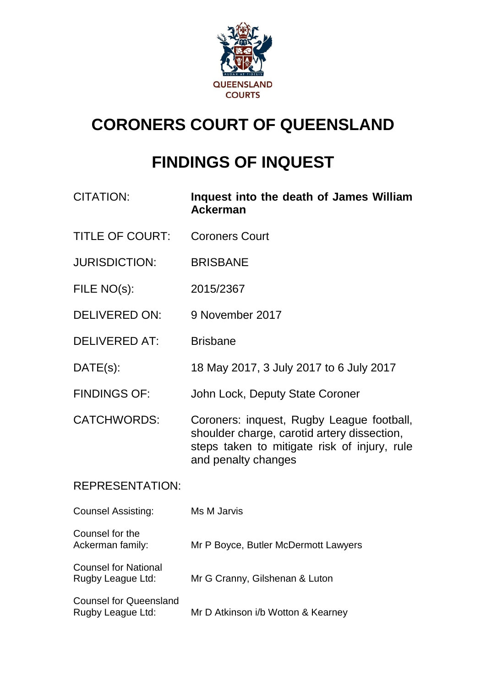

# **CORONERS COURT OF QUEENSLAND**

# **FINDINGS OF INQUEST**

| <b>CITATION:</b>       | Inquest into the death of James William<br><b>Ackerman</b>                                                                                                      |
|------------------------|-----------------------------------------------------------------------------------------------------------------------------------------------------------------|
| <b>TITLE OF COURT:</b> | <b>Coroners Court</b>                                                                                                                                           |
| <b>JURISDICTION:</b>   | <b>BRISBANE</b>                                                                                                                                                 |
| FILE NO(s):            | 2015/2367                                                                                                                                                       |
| <b>DELIVERED ON:</b>   | 9 November 2017                                                                                                                                                 |
| <b>DELIVERED AT:</b>   | <b>Brisbane</b>                                                                                                                                                 |
| $DATE(s)$ :            | 18 May 2017, 3 July 2017 to 6 July 2017                                                                                                                         |
| <b>FINDINGS OF:</b>    | John Lock, Deputy State Coroner                                                                                                                                 |
| <b>CATCHWORDS:</b>     | Coroners: inquest, Rugby League football,<br>shoulder charge, carotid artery dissection,<br>steps taken to mitigate risk of injury, rule<br>and penalty changes |

# REPRESENTATION:

| <b>Counsel Assisting:</b>                          | Ms M Jarvis                          |
|----------------------------------------------------|--------------------------------------|
| Counsel for the<br>Ackerman family:                | Mr P Boyce, Butler McDermott Lawyers |
| <b>Counsel for National</b><br>Rugby League Ltd:   | Mr G Cranny, Gilshenan & Luton       |
| <b>Counsel for Queensland</b><br>Rugby League Ltd: | Mr D Atkinson i/b Wotton & Kearney   |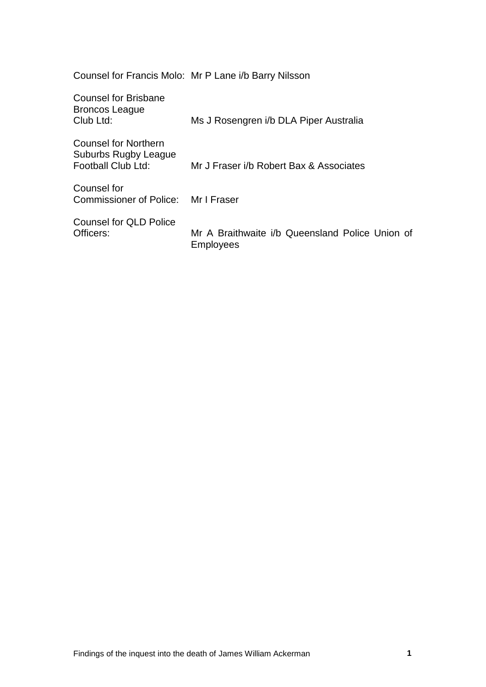Counsel for Francis Molo: Mr P Lane i/b Barry Nilsson

| <b>Counsel for Brisbane</b><br>Broncos League<br>Club Ltd:                | Ms J Rosengren i/b DLA Piper Australia                              |
|---------------------------------------------------------------------------|---------------------------------------------------------------------|
| <b>Counsel for Northern</b><br>Suburbs Rugby League<br>Football Club Ltd: | Mr J Fraser i/b Robert Bax & Associates                             |
| Counsel for<br>Commissioner of Police: Mr I Fraser                        |                                                                     |
| <b>Counsel for QLD Police</b><br>Officers:                                | Mr A Braithwaite i/b Queensland Police Union of<br><b>Employees</b> |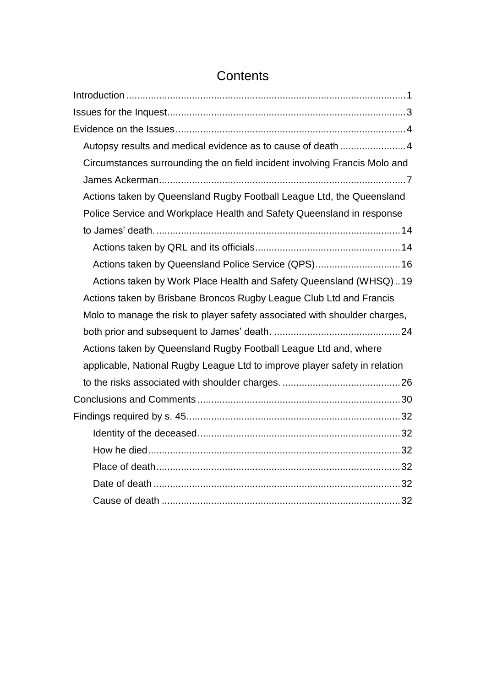| Autopsy results and medical evidence as to cause of death 4                |  |
|----------------------------------------------------------------------------|--|
| Circumstances surrounding the on field incident involving Francis Molo and |  |
|                                                                            |  |
| Actions taken by Queensland Rugby Football League Ltd, the Queensland      |  |
| Police Service and Workplace Health and Safety Queensland in response      |  |
|                                                                            |  |
|                                                                            |  |
| Actions taken by Queensland Police Service (QPS) 16                        |  |
| Actions taken by Work Place Health and Safety Queensland (WHSQ)19          |  |
| Actions taken by Brisbane Broncos Rugby League Club Ltd and Francis        |  |
| Molo to manage the risk to player safety associated with shoulder charges, |  |
|                                                                            |  |
| Actions taken by Queensland Rugby Football League Ltd and, where           |  |
| applicable, National Rugby League Ltd to improve player safety in relation |  |
|                                                                            |  |
|                                                                            |  |
|                                                                            |  |
|                                                                            |  |
|                                                                            |  |
|                                                                            |  |
|                                                                            |  |
|                                                                            |  |

# **Contents**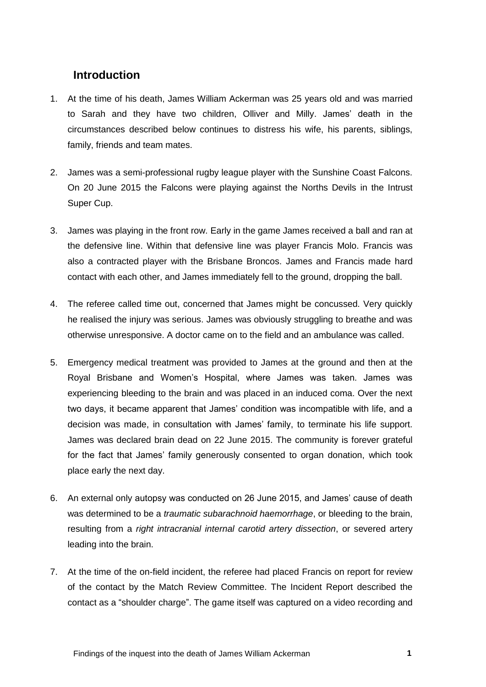## <span id="page-3-0"></span>**Introduction**

- 1. At the time of his death, James William Ackerman was 25 years old and was married to Sarah and they have two children, Olliver and Milly. James' death in the circumstances described below continues to distress his wife, his parents, siblings, family, friends and team mates.
- 2. James was a semi-professional rugby league player with the Sunshine Coast Falcons. On 20 June 2015 the Falcons were playing against the Norths Devils in the Intrust Super Cup.
- 3. James was playing in the front row. Early in the game James received a ball and ran at the defensive line. Within that defensive line was player Francis Molo. Francis was also a contracted player with the Brisbane Broncos. James and Francis made hard contact with each other, and James immediately fell to the ground, dropping the ball.
- 4. The referee called time out, concerned that James might be concussed. Very quickly he realised the injury was serious. James was obviously struggling to breathe and was otherwise unresponsive. A doctor came on to the field and an ambulance was called.
- 5. Emergency medical treatment was provided to James at the ground and then at the Royal Brisbane and Women's Hospital, where James was taken. James was experiencing bleeding to the brain and was placed in an induced coma. Over the next two days, it became apparent that James' condition was incompatible with life, and a decision was made, in consultation with James' family, to terminate his life support. James was declared brain dead on 22 June 2015. The community is forever grateful for the fact that James' family generously consented to organ donation, which took place early the next day.
- 6. An external only autopsy was conducted on 26 June 2015, and James' cause of death was determined to be a *traumatic subarachnoid haemorrhage*, or bleeding to the brain, resulting from a *right intracranial internal carotid artery dissection*, or severed artery leading into the brain.
- 7. At the time of the on-field incident, the referee had placed Francis on report for review of the contact by the Match Review Committee. The Incident Report described the contact as a "shoulder charge". The game itself was captured on a video recording and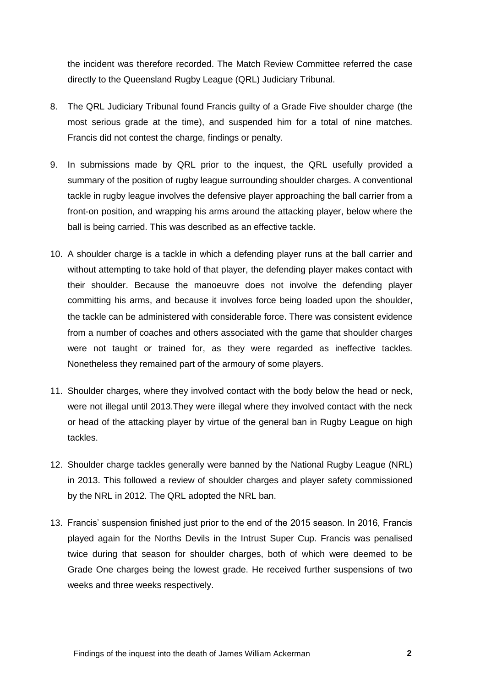the incident was therefore recorded. The Match Review Committee referred the case directly to the Queensland Rugby League (QRL) Judiciary Tribunal.

- 8. The QRL Judiciary Tribunal found Francis guilty of a Grade Five shoulder charge (the most serious grade at the time), and suspended him for a total of nine matches. Francis did not contest the charge, findings or penalty.
- 9. In submissions made by QRL prior to the inquest, the QRL usefully provided a summary of the position of rugby league surrounding shoulder charges. A conventional tackle in rugby league involves the defensive player approaching the ball carrier from a front-on position, and wrapping his arms around the attacking player, below where the ball is being carried. This was described as an effective tackle.
- 10. A shoulder charge is a tackle in which a defending player runs at the ball carrier and without attempting to take hold of that player, the defending player makes contact with their shoulder. Because the manoeuvre does not involve the defending player committing his arms, and because it involves force being loaded upon the shoulder, the tackle can be administered with considerable force. There was consistent evidence from a number of coaches and others associated with the game that shoulder charges were not taught or trained for, as they were regarded as ineffective tackles. Nonetheless they remained part of the armoury of some players.
- 11. Shoulder charges, where they involved contact with the body below the head or neck, were not illegal until 2013.They were illegal where they involved contact with the neck or head of the attacking player by virtue of the general ban in Rugby League on high tackles.
- 12. Shoulder charge tackles generally were banned by the National Rugby League (NRL) in 2013. This followed a review of shoulder charges and player safety commissioned by the NRL in 2012. The QRL adopted the NRL ban.
- 13. Francis' suspension finished just prior to the end of the 2015 season. In 2016, Francis played again for the Norths Devils in the Intrust Super Cup. Francis was penalised twice during that season for shoulder charges, both of which were deemed to be Grade One charges being the lowest grade. He received further suspensions of two weeks and three weeks respectively.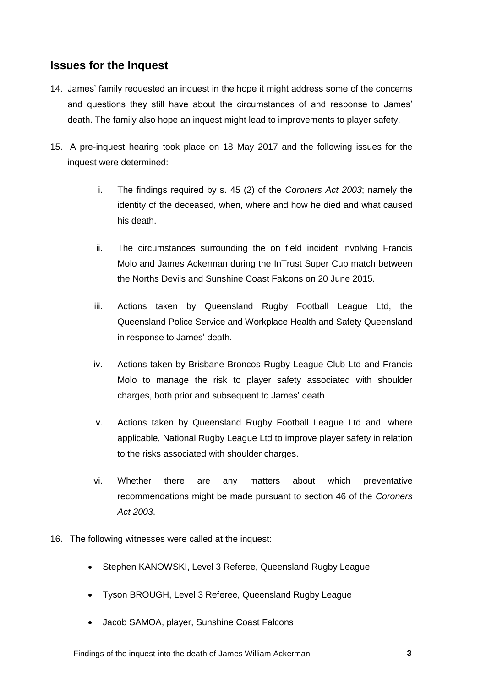## <span id="page-5-0"></span>**Issues for the Inquest**

- 14. James' family requested an inquest in the hope it might address some of the concerns and questions they still have about the circumstances of and response to James' death. The family also hope an inquest might lead to improvements to player safety.
- 15. A pre-inquest hearing took place on 18 May 2017 and the following issues for the inquest were determined:
	- i. The findings required by s. 45 (2) of the *Coroners Act 2003*; namely the identity of the deceased, when, where and how he died and what caused his death.
	- ii. The circumstances surrounding the on field incident involving Francis Molo and James Ackerman during the InTrust Super Cup match between the Norths Devils and Sunshine Coast Falcons on 20 June 2015.
	- iii. Actions taken by Queensland Rugby Football League Ltd, the Queensland Police Service and Workplace Health and Safety Queensland in response to James' death.
	- iv. Actions taken by Brisbane Broncos Rugby League Club Ltd and Francis Molo to manage the risk to player safety associated with shoulder charges, both prior and subsequent to James' death.
	- v. Actions taken by Queensland Rugby Football League Ltd and, where applicable, National Rugby League Ltd to improve player safety in relation to the risks associated with shoulder charges.
	- vi. Whether there are any matters about which preventative recommendations might be made pursuant to section 46 of the *Coroners Act 2003*.
- 16. The following witnesses were called at the inquest:
	- Stephen KANOWSKI, Level 3 Referee, Queensland Rugby League
	- Tyson BROUGH, Level 3 Referee, Queensland Rugby League
	- Jacob SAMOA, player, Sunshine Coast Falcons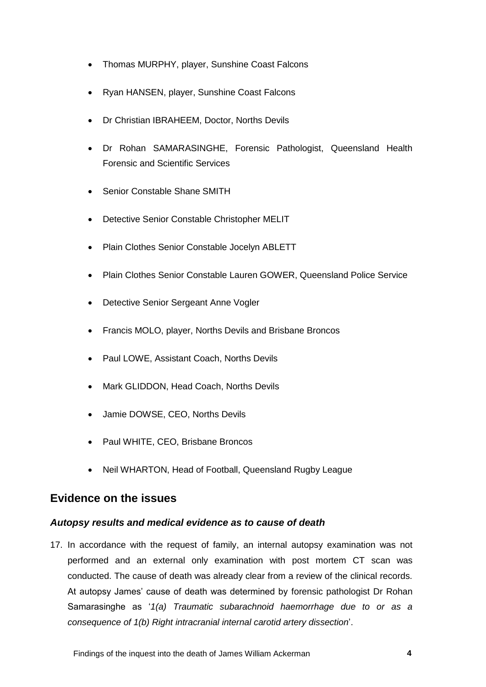- Thomas MURPHY, player, Sunshine Coast Falcons
- Ryan HANSEN, player, Sunshine Coast Falcons
- Dr Christian IBRAHEEM, Doctor, Norths Devils
- Dr Rohan SAMARASINGHE, Forensic Pathologist, Queensland Health Forensic and Scientific Services
- Senior Constable Shane SMITH
- Detective Senior Constable Christopher MELIT
- Plain Clothes Senior Constable Jocelyn ABLETT
- Plain Clothes Senior Constable Lauren GOWER, Queensland Police Service
- Detective Senior Sergeant Anne Vogler
- Francis MOLO, player, Norths Devils and Brisbane Broncos
- Paul LOWE, Assistant Coach, Norths Devils
- Mark GLIDDON, Head Coach, Norths Devils
- Jamie DOWSE, CEO, Norths Devils
- Paul WHITE, CEO, Brisbane Broncos
- Neil WHARTON, Head of Football, Queensland Rugby League

#### <span id="page-6-0"></span>**Evidence on the issues**

#### <span id="page-6-1"></span>*Autopsy results and medical evidence as to cause of death*

17. In accordance with the request of family, an internal autopsy examination was not performed and an external only examination with post mortem CT scan was conducted. The cause of death was already clear from a review of the clinical records. At autopsy James' cause of death was determined by forensic pathologist Dr Rohan Samarasinghe as '*1(a) Traumatic subarachnoid haemorrhage due to or as a consequence of 1(b) Right intracranial internal carotid artery dissection*'.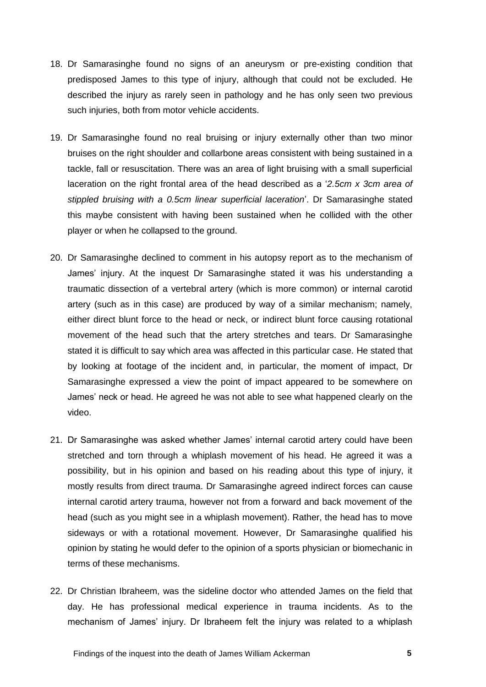- 18. Dr Samarasinghe found no signs of an aneurysm or pre-existing condition that predisposed James to this type of injury, although that could not be excluded. He described the injury as rarely seen in pathology and he has only seen two previous such injuries, both from motor vehicle accidents.
- 19. Dr Samarasinghe found no real bruising or injury externally other than two minor bruises on the right shoulder and collarbone areas consistent with being sustained in a tackle, fall or resuscitation. There was an area of light bruising with a small superficial laceration on the right frontal area of the head described as a '*2.5cm x 3cm area of stippled bruising with a 0.5cm linear superficial laceration*'. Dr Samarasinghe stated this maybe consistent with having been sustained when he collided with the other player or when he collapsed to the ground.
- 20. Dr Samarasinghe declined to comment in his autopsy report as to the mechanism of James' injury. At the inquest Dr Samarasinghe stated it was his understanding a traumatic dissection of a vertebral artery (which is more common) or internal carotid artery (such as in this case) are produced by way of a similar mechanism; namely, either direct blunt force to the head or neck, or indirect blunt force causing rotational movement of the head such that the artery stretches and tears. Dr Samarasinghe stated it is difficult to say which area was affected in this particular case. He stated that by looking at footage of the incident and, in particular, the moment of impact, Dr Samarasinghe expressed a view the point of impact appeared to be somewhere on James' neck or head. He agreed he was not able to see what happened clearly on the video.
- 21. Dr Samarasinghe was asked whether James' internal carotid artery could have been stretched and torn through a whiplash movement of his head. He agreed it was a possibility, but in his opinion and based on his reading about this type of injury, it mostly results from direct trauma. Dr Samarasinghe agreed indirect forces can cause internal carotid artery trauma, however not from a forward and back movement of the head (such as you might see in a whiplash movement). Rather, the head has to move sideways or with a rotational movement. However, Dr Samarasinghe qualified his opinion by stating he would defer to the opinion of a sports physician or biomechanic in terms of these mechanisms.
- 22. Dr Christian Ibraheem, was the sideline doctor who attended James on the field that day. He has professional medical experience in trauma incidents. As to the mechanism of James' injury. Dr Ibraheem felt the injury was related to a whiplash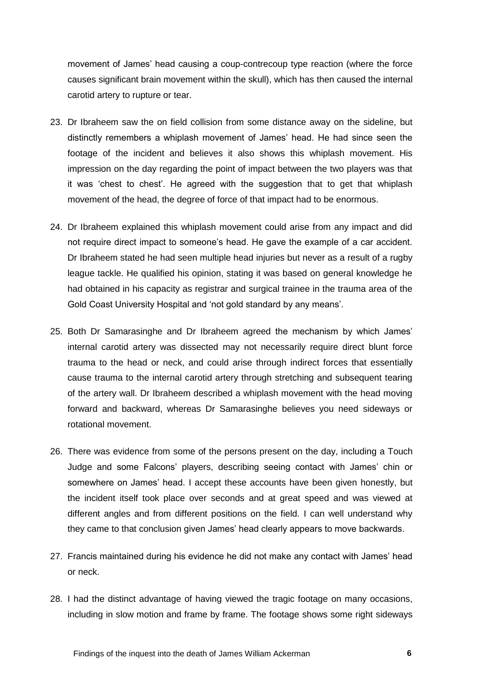movement of James' head causing a coup-contrecoup type reaction (where the force causes significant brain movement within the skull), which has then caused the internal carotid artery to rupture or tear.

- 23. Dr Ibraheem saw the on field collision from some distance away on the sideline, but distinctly remembers a whiplash movement of James' head. He had since seen the footage of the incident and believes it also shows this whiplash movement. His impression on the day regarding the point of impact between the two players was that it was 'chest to chest'. He agreed with the suggestion that to get that whiplash movement of the head, the degree of force of that impact had to be enormous.
- 24. Dr Ibraheem explained this whiplash movement could arise from any impact and did not require direct impact to someone's head. He gave the example of a car accident. Dr Ibraheem stated he had seen multiple head injuries but never as a result of a rugby league tackle. He qualified his opinion, stating it was based on general knowledge he had obtained in his capacity as registrar and surgical trainee in the trauma area of the Gold Coast University Hospital and 'not gold standard by any means'.
- 25. Both Dr Samarasinghe and Dr Ibraheem agreed the mechanism by which James' internal carotid artery was dissected may not necessarily require direct blunt force trauma to the head or neck, and could arise through indirect forces that essentially cause trauma to the internal carotid artery through stretching and subsequent tearing of the artery wall. Dr Ibraheem described a whiplash movement with the head moving forward and backward, whereas Dr Samarasinghe believes you need sideways or rotational movement.
- 26. There was evidence from some of the persons present on the day, including a Touch Judge and some Falcons' players, describing seeing contact with James' chin or somewhere on James' head. I accept these accounts have been given honestly, but the incident itself took place over seconds and at great speed and was viewed at different angles and from different positions on the field. I can well understand why they came to that conclusion given James' head clearly appears to move backwards.
- 27. Francis maintained during his evidence he did not make any contact with James' head or neck.
- 28. I had the distinct advantage of having viewed the tragic footage on many occasions, including in slow motion and frame by frame. The footage shows some right sideways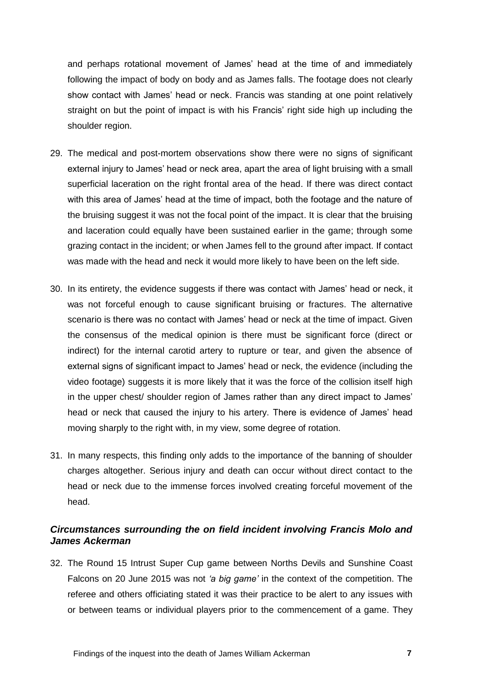and perhaps rotational movement of James' head at the time of and immediately following the impact of body on body and as James falls. The footage does not clearly show contact with James' head or neck. Francis was standing at one point relatively straight on but the point of impact is with his Francis' right side high up including the shoulder region.

- 29. The medical and post-mortem observations show there were no signs of significant external injury to James' head or neck area, apart the area of light bruising with a small superficial laceration on the right frontal area of the head. If there was direct contact with this area of James' head at the time of impact, both the footage and the nature of the bruising suggest it was not the focal point of the impact. It is clear that the bruising and laceration could equally have been sustained earlier in the game; through some grazing contact in the incident; or when James fell to the ground after impact. If contact was made with the head and neck it would more likely to have been on the left side.
- 30. In its entirety, the evidence suggests if there was contact with James' head or neck, it was not forceful enough to cause significant bruising or fractures. The alternative scenario is there was no contact with James' head or neck at the time of impact. Given the consensus of the medical opinion is there must be significant force (direct or indirect) for the internal carotid artery to rupture or tear, and given the absence of external signs of significant impact to James' head or neck, the evidence (including the video footage) suggests it is more likely that it was the force of the collision itself high in the upper chest/ shoulder region of James rather than any direct impact to James' head or neck that caused the injury to his artery. There is evidence of James' head moving sharply to the right with, in my view, some degree of rotation.
- 31. In many respects, this finding only adds to the importance of the banning of shoulder charges altogether. Serious injury and death can occur without direct contact to the head or neck due to the immense forces involved creating forceful movement of the head.

#### <span id="page-9-0"></span>*Circumstances surrounding the on field incident involving Francis Molo and James Ackerman*

32. The Round 15 Intrust Super Cup game between Norths Devils and Sunshine Coast Falcons on 20 June 2015 was not *'a big game'* in the context of the competition. The referee and others officiating stated it was their practice to be alert to any issues with or between teams or individual players prior to the commencement of a game. They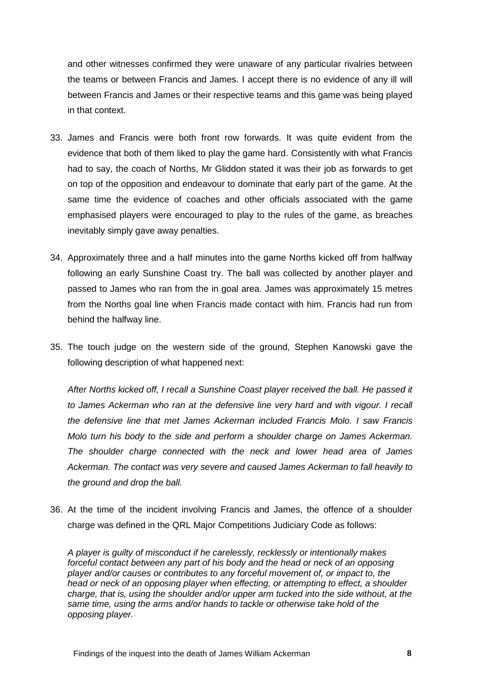and other witnesses confirmed they were unaware of any particular rivalries between the teams or between Francis and James. I accept there is no evidence of any ill will between Francis and James or their respective teams and this game was being played in that context.

- 33. James and Francis were both front row forwards. It was quite evident from the evidence that both of them liked to play the game hard. Consistently with what Francis had to say, the coach of Norths, Mr Gliddon stated it was their job as forwards to get on top of the opposition and endeavour to dominate that early part of the game. At the same time the evidence of coaches and other officials associated with the game emphasised players were encouraged to play to the rules of the game, as breaches inevitably simply gave away penalties.
- 34. Approximately three and a half minutes into the game Norths kicked off from halfway following an early Sunshine Coast try. The ball was collected by another player and passed to James who ran from the in goal area. James was approximately 15 metres from the Norths goal line when Francis made contact with him. Francis had run from behind the halfway line.
- 35. The touch judge on the western side of the ground, Stephen Kanowski gave the following description of what happened next:

*After Norths kicked off, I recall a Sunshine Coast player received the ball. He passed it*  to James Ackerman who ran at the defensive line very hard and with vigour. I recall *the defensive line that met James Ackerman included Francis Molo. I saw Francis Molo turn his body to the side and perform a shoulder charge on James Ackerman. The shoulder charge connected with the neck and lower head area of James Ackerman. The contact was very severe and caused James Ackerman to fall heavily to the ground and drop the ball.*

36. At the time of the incident involving Francis and James, the offence of a shoulder charge was defined in the QRL Major Competitions Judiciary Code as follows:

*A player is guilty of misconduct if he carelessly, recklessly or intentionally makes forceful contact between any part of his body and the head or neck of an opposing player and/or causes or contributes to any forceful movement of, or impact to, the head or neck of an opposing player when effecting, or attempting to effect, a shoulder charge, that is, using the shoulder and/or upper arm tucked into the side without, at the same time, using the arms and/or hands to tackle or otherwise take hold of the opposing player.*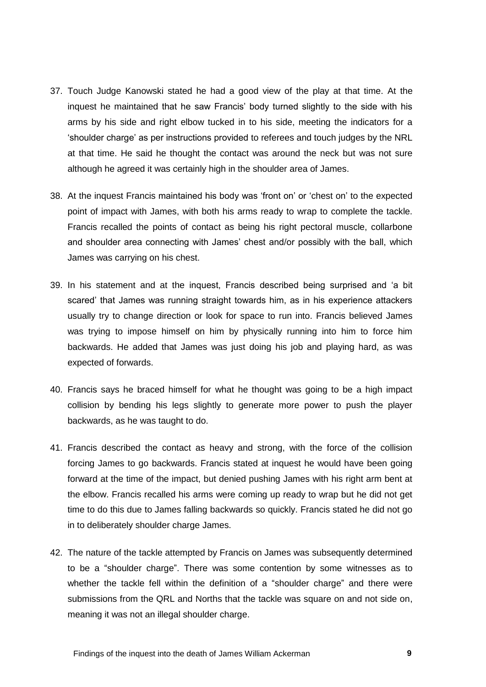- 37. Touch Judge Kanowski stated he had a good view of the play at that time. At the inquest he maintained that he saw Francis' body turned slightly to the side with his arms by his side and right elbow tucked in to his side, meeting the indicators for a 'shoulder charge' as per instructions provided to referees and touch judges by the NRL at that time. He said he thought the contact was around the neck but was not sure although he agreed it was certainly high in the shoulder area of James.
- 38. At the inquest Francis maintained his body was 'front on' or 'chest on' to the expected point of impact with James, with both his arms ready to wrap to complete the tackle. Francis recalled the points of contact as being his right pectoral muscle, collarbone and shoulder area connecting with James' chest and/or possibly with the ball, which James was carrying on his chest.
- 39. In his statement and at the inquest, Francis described being surprised and 'a bit scared' that James was running straight towards him, as in his experience attackers usually try to change direction or look for space to run into. Francis believed James was trying to impose himself on him by physically running into him to force him backwards. He added that James was just doing his job and playing hard, as was expected of forwards.
- 40. Francis says he braced himself for what he thought was going to be a high impact collision by bending his legs slightly to generate more power to push the player backwards, as he was taught to do.
- 41. Francis described the contact as heavy and strong, with the force of the collision forcing James to go backwards. Francis stated at inquest he would have been going forward at the time of the impact, but denied pushing James with his right arm bent at the elbow. Francis recalled his arms were coming up ready to wrap but he did not get time to do this due to James falling backwards so quickly. Francis stated he did not go in to deliberately shoulder charge James.
- 42. The nature of the tackle attempted by Francis on James was subsequently determined to be a "shoulder charge". There was some contention by some witnesses as to whether the tackle fell within the definition of a "shoulder charge" and there were submissions from the QRL and Norths that the tackle was square on and not side on, meaning it was not an illegal shoulder charge.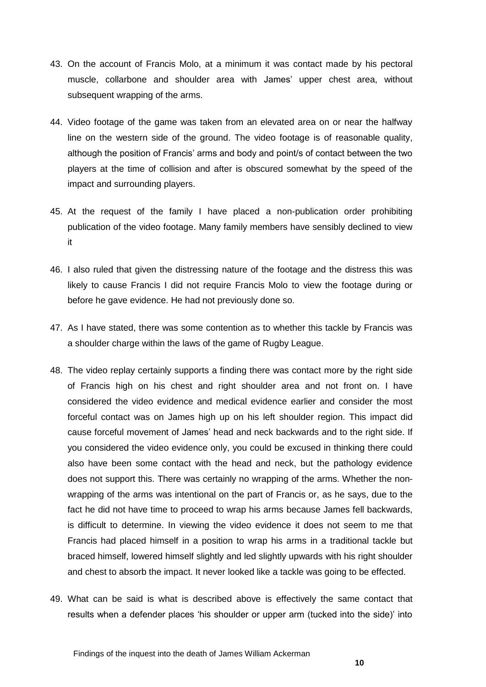- 43. On the account of Francis Molo, at a minimum it was contact made by his pectoral muscle, collarbone and shoulder area with James' upper chest area, without subsequent wrapping of the arms.
- 44. Video footage of the game was taken from an elevated area on or near the halfway line on the western side of the ground. The video footage is of reasonable quality, although the position of Francis' arms and body and point/s of contact between the two players at the time of collision and after is obscured somewhat by the speed of the impact and surrounding players.
- 45. At the request of the family I have placed a non-publication order prohibiting publication of the video footage. Many family members have sensibly declined to view it
- 46. I also ruled that given the distressing nature of the footage and the distress this was likely to cause Francis I did not require Francis Molo to view the footage during or before he gave evidence. He had not previously done so.
- 47. As I have stated, there was some contention as to whether this tackle by Francis was a shoulder charge within the laws of the game of Rugby League.
- 48. The video replay certainly supports a finding there was contact more by the right side of Francis high on his chest and right shoulder area and not front on. I have considered the video evidence and medical evidence earlier and consider the most forceful contact was on James high up on his left shoulder region. This impact did cause forceful movement of James' head and neck backwards and to the right side. If you considered the video evidence only, you could be excused in thinking there could also have been some contact with the head and neck, but the pathology evidence does not support this. There was certainly no wrapping of the arms. Whether the nonwrapping of the arms was intentional on the part of Francis or, as he says, due to the fact he did not have time to proceed to wrap his arms because James fell backwards, is difficult to determine. In viewing the video evidence it does not seem to me that Francis had placed himself in a position to wrap his arms in a traditional tackle but braced himself, lowered himself slightly and led slightly upwards with his right shoulder and chest to absorb the impact. It never looked like a tackle was going to be effected.
- 49. What can be said is what is described above is effectively the same contact that results when a defender places 'his shoulder or upper arm (tucked into the side)' into

Findings of the inquest into the death of James William Ackerman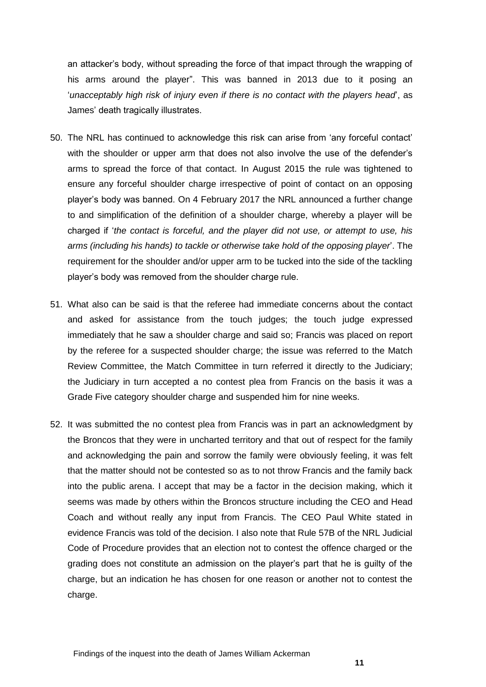an attacker's body, without spreading the force of that impact through the wrapping of his arms around the player". This was banned in 2013 due to it posing an '*unacceptably high risk of injury even if there is no contact with the players head*', as James' death tragically illustrates.

- 50. The NRL has continued to acknowledge this risk can arise from 'any forceful contact' with the shoulder or upper arm that does not also involve the use of the defender's arms to spread the force of that contact. In August 2015 the rule was tightened to ensure any forceful shoulder charge irrespective of point of contact on an opposing player's body was banned. On 4 February 2017 the NRL announced a further change to and simplification of the definition of a shoulder charge, whereby a player will be charged if '*the contact is forceful, and the player did not use, or attempt to use, his arms (including his hands) to tackle or otherwise take hold of the opposing player*'. The requirement for the shoulder and/or upper arm to be tucked into the side of the tackling player's body was removed from the shoulder charge rule.
- 51. What also can be said is that the referee had immediate concerns about the contact and asked for assistance from the touch judges; the touch judge expressed immediately that he saw a shoulder charge and said so; Francis was placed on report by the referee for a suspected shoulder charge; the issue was referred to the Match Review Committee, the Match Committee in turn referred it directly to the Judiciary; the Judiciary in turn accepted a no contest plea from Francis on the basis it was a Grade Five category shoulder charge and suspended him for nine weeks.
- 52. It was submitted the no contest plea from Francis was in part an acknowledgment by the Broncos that they were in uncharted territory and that out of respect for the family and acknowledging the pain and sorrow the family were obviously feeling, it was felt that the matter should not be contested so as to not throw Francis and the family back into the public arena. I accept that may be a factor in the decision making, which it seems was made by others within the Broncos structure including the CEO and Head Coach and without really any input from Francis. The CEO Paul White stated in evidence Francis was told of the decision. I also note that Rule 57B of the NRL Judicial Code of Procedure provides that an election not to contest the offence charged or the grading does not constitute an admission on the player's part that he is guilty of the charge, but an indication he has chosen for one reason or another not to contest the charge.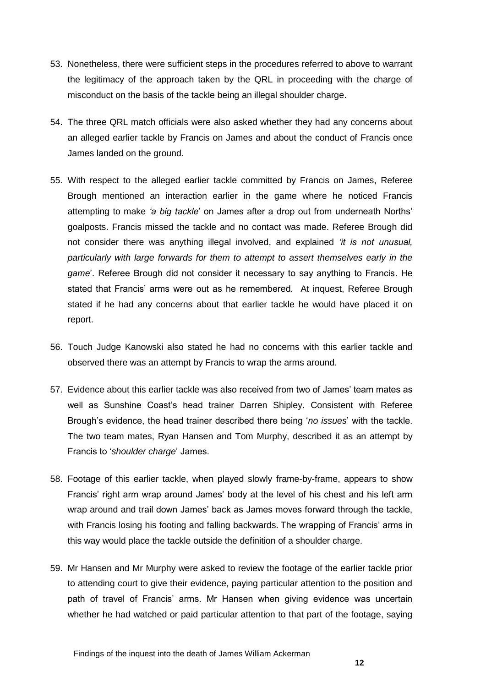- 53. Nonetheless, there were sufficient steps in the procedures referred to above to warrant the legitimacy of the approach taken by the QRL in proceeding with the charge of misconduct on the basis of the tackle being an illegal shoulder charge.
- 54. The three QRL match officials were also asked whether they had any concerns about an alleged earlier tackle by Francis on James and about the conduct of Francis once James landed on the ground.
- 55. With respect to the alleged earlier tackle committed by Francis on James, Referee Brough mentioned an interaction earlier in the game where he noticed Francis attempting to make *'a big tackle*' on James after a drop out from underneath Norths' goalposts. Francis missed the tackle and no contact was made. Referee Brough did not consider there was anything illegal involved, and explained *'it is not unusual, particularly with large forwards for them to attempt to assert themselves early in the game*'. Referee Brough did not consider it necessary to say anything to Francis. He stated that Francis' arms were out as he remembered. At inquest, Referee Brough stated if he had any concerns about that earlier tackle he would have placed it on report.
- 56. Touch Judge Kanowski also stated he had no concerns with this earlier tackle and observed there was an attempt by Francis to wrap the arms around.
- 57. Evidence about this earlier tackle was also received from two of James' team mates as well as Sunshine Coast's head trainer Darren Shipley. Consistent with Referee Brough's evidence, the head trainer described there being '*no issues*' with the tackle. The two team mates, Ryan Hansen and Tom Murphy, described it as an attempt by Francis to '*shoulder charge*' James.
- 58. Footage of this earlier tackle, when played slowly frame-by-frame, appears to show Francis' right arm wrap around James' body at the level of his chest and his left arm wrap around and trail down James' back as James moves forward through the tackle, with Francis losing his footing and falling backwards. The wrapping of Francis' arms in this way would place the tackle outside the definition of a shoulder charge.
- 59. Mr Hansen and Mr Murphy were asked to review the footage of the earlier tackle prior to attending court to give their evidence, paying particular attention to the position and path of travel of Francis' arms. Mr Hansen when giving evidence was uncertain whether he had watched or paid particular attention to that part of the footage, saying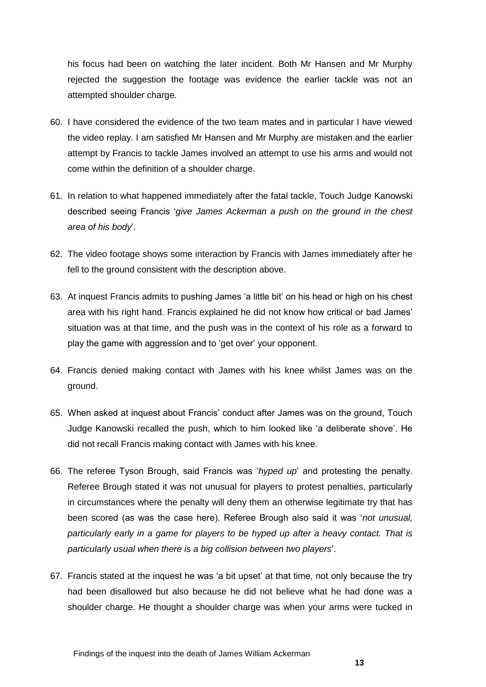his focus had been on watching the later incident. Both Mr Hansen and Mr Murphy rejected the suggestion the footage was evidence the earlier tackle was not an attempted shoulder charge.

- 60. I have considered the evidence of the two team mates and in particular I have viewed the video replay. I am satisfied Mr Hansen and Mr Murphy are mistaken and the earlier attempt by Francis to tackle James involved an attempt to use his arms and would not come within the definition of a shoulder charge.
- 61. In relation to what happened immediately after the fatal tackle, Touch Judge Kanowski described seeing Francis '*give James Ackerman a push on the ground in the chest area of his body*'.
- 62. The video footage shows some interaction by Francis with James immediately after he fell to the ground consistent with the description above.
- 63. At inquest Francis admits to pushing James 'a little bit' on his head or high on his chest area with his right hand. Francis explained he did not know how critical or bad James' situation was at that time, and the push was in the context of his role as a forward to play the game with aggression and to 'get over' your opponent.
- 64. Francis denied making contact with James with his knee whilst James was on the ground.
- 65. When asked at inquest about Francis' conduct after James was on the ground, Touch Judge Kanowski recalled the push, which to him looked like 'a deliberate shove'. He did not recall Francis making contact with James with his knee.
- 66. The referee Tyson Brough, said Francis was '*hyped up*' and protesting the penalty. Referee Brough stated it was not unusual for players to protest penalties, particularly in circumstances where the penalty will deny them an otherwise legitimate try that has been scored (as was the case here). Referee Brough also said it was '*not unusual, particularly early in a game for players to be hyped up after a heavy contact. That is particularly usual when there is a big collision between two players*'.
- 67. Francis stated at the inquest he was 'a bit upset' at that time, not only because the try had been disallowed but also because he did not believe what he had done was a shoulder charge. He thought a shoulder charge was when your arms were tucked in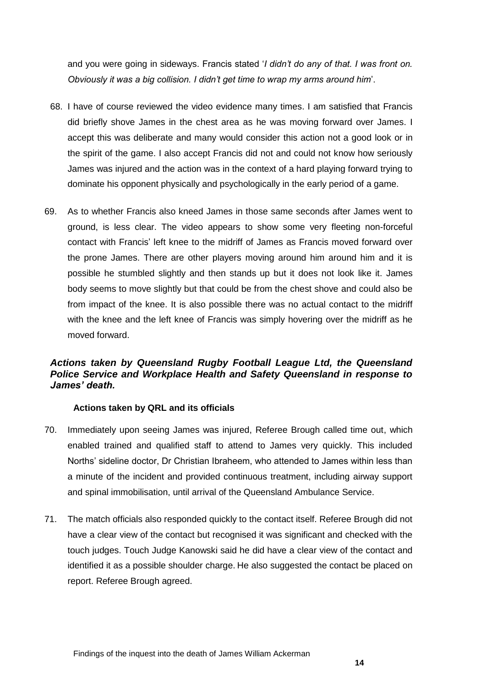and you were going in sideways. Francis stated '*I didn't do any of that. I was front on. Obviously it was a big collision. I didn't get time to wrap my arms around him*'.

- 68. I have of course reviewed the video evidence many times. I am satisfied that Francis did briefly shove James in the chest area as he was moving forward over James. I accept this was deliberate and many would consider this action not a good look or in the spirit of the game. I also accept Francis did not and could not know how seriously James was injured and the action was in the context of a hard playing forward trying to dominate his opponent physically and psychologically in the early period of a game.
- 69. As to whether Francis also kneed James in those same seconds after James went to ground, is less clear. The video appears to show some very fleeting non-forceful contact with Francis' left knee to the midriff of James as Francis moved forward over the prone James. There are other players moving around him around him and it is possible he stumbled slightly and then stands up but it does not look like it. James body seems to move slightly but that could be from the chest shove and could also be from impact of the knee. It is also possible there was no actual contact to the midriff with the knee and the left knee of Francis was simply hovering over the midriff as he moved forward.

#### <span id="page-16-0"></span>*Actions taken by Queensland Rugby Football League Ltd, the Queensland Police Service and Workplace Health and Safety Queensland in response to James' death.*

#### <span id="page-16-1"></span>**Actions taken by QRL and its officials**

- 70. Immediately upon seeing James was injured, Referee Brough called time out, which enabled trained and qualified staff to attend to James very quickly. This included Norths' sideline doctor, Dr Christian Ibraheem, who attended to James within less than a minute of the incident and provided continuous treatment, including airway support and spinal immobilisation, until arrival of the Queensland Ambulance Service.
- 71. The match officials also responded quickly to the contact itself. Referee Brough did not have a clear view of the contact but recognised it was significant and checked with the touch judges. Touch Judge Kanowski said he did have a clear view of the contact and identified it as a possible shoulder charge. He also suggested the contact be placed on report. Referee Brough agreed.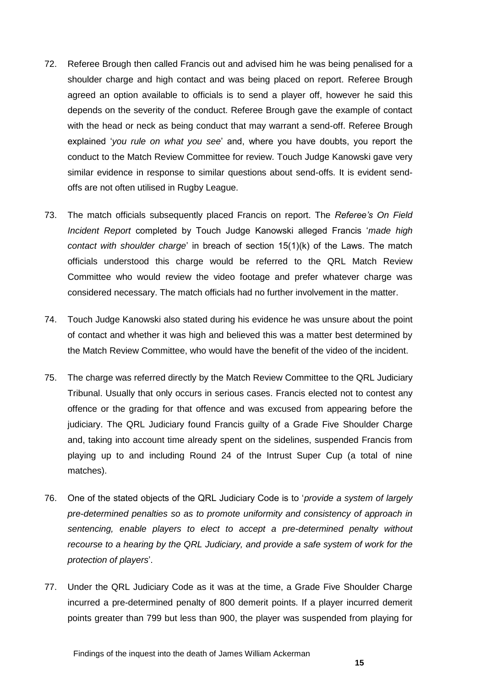- 72. Referee Brough then called Francis out and advised him he was being penalised for a shoulder charge and high contact and was being placed on report. Referee Brough agreed an option available to officials is to send a player off, however he said this depends on the severity of the conduct. Referee Brough gave the example of contact with the head or neck as being conduct that may warrant a send-off. Referee Brough explained '*you rule on what you see*' and, where you have doubts, you report the conduct to the Match Review Committee for review. Touch Judge Kanowski gave very similar evidence in response to similar questions about send-offs. It is evident sendoffs are not often utilised in Rugby League.
- 73. The match officials subsequently placed Francis on report. The *Referee's On Field Incident Report* completed by Touch Judge Kanowski alleged Francis '*made high contact with shoulder charge*' in breach of section 15(1)(k) of the Laws. The match officials understood this charge would be referred to the QRL Match Review Committee who would review the video footage and prefer whatever charge was considered necessary. The match officials had no further involvement in the matter.
- 74. Touch Judge Kanowski also stated during his evidence he was unsure about the point of contact and whether it was high and believed this was a matter best determined by the Match Review Committee, who would have the benefit of the video of the incident.
- 75. The charge was referred directly by the Match Review Committee to the QRL Judiciary Tribunal. Usually that only occurs in serious cases. Francis elected not to contest any offence or the grading for that offence and was excused from appearing before the judiciary. The QRL Judiciary found Francis guilty of a Grade Five Shoulder Charge and, taking into account time already spent on the sidelines, suspended Francis from playing up to and including Round 24 of the Intrust Super Cup (a total of nine matches).
- 76. One of the stated objects of the QRL Judiciary Code is to '*provide a system of largely pre-determined penalties so as to promote uniformity and consistency of approach in sentencing, enable players to elect to accept a pre-determined penalty without recourse to a hearing by the QRL Judiciary, and provide a safe system of work for the protection of players*'.
- 77. Under the QRL Judiciary Code as it was at the time, a Grade Five Shoulder Charge incurred a pre-determined penalty of 800 demerit points. If a player incurred demerit points greater than 799 but less than 900, the player was suspended from playing for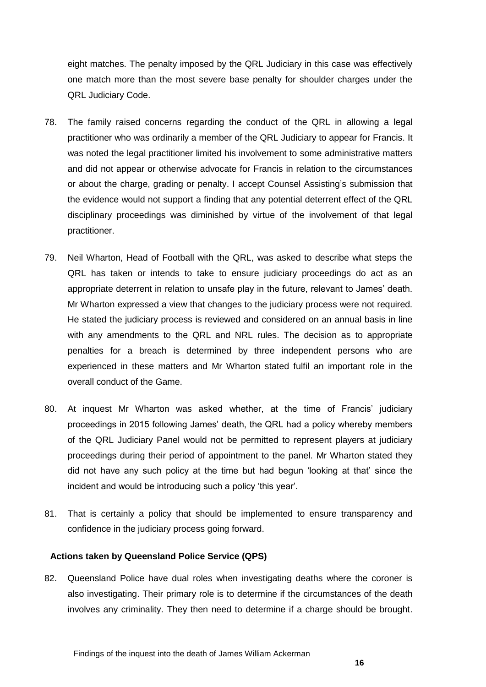eight matches. The penalty imposed by the QRL Judiciary in this case was effectively one match more than the most severe base penalty for shoulder charges under the QRL Judiciary Code.

- 78. The family raised concerns regarding the conduct of the QRL in allowing a legal practitioner who was ordinarily a member of the QRL Judiciary to appear for Francis. It was noted the legal practitioner limited his involvement to some administrative matters and did not appear or otherwise advocate for Francis in relation to the circumstances or about the charge, grading or penalty. I accept Counsel Assisting's submission that the evidence would not support a finding that any potential deterrent effect of the QRL disciplinary proceedings was diminished by virtue of the involvement of that legal practitioner.
- 79. Neil Wharton, Head of Football with the QRL, was asked to describe what steps the QRL has taken or intends to take to ensure judiciary proceedings do act as an appropriate deterrent in relation to unsafe play in the future, relevant to James' death. Mr Wharton expressed a view that changes to the judiciary process were not required. He stated the judiciary process is reviewed and considered on an annual basis in line with any amendments to the QRL and NRL rules. The decision as to appropriate penalties for a breach is determined by three independent persons who are experienced in these matters and Mr Wharton stated fulfil an important role in the overall conduct of the Game.
- 80. At inquest Mr Wharton was asked whether, at the time of Francis' judiciary proceedings in 2015 following James' death, the QRL had a policy whereby members of the QRL Judiciary Panel would not be permitted to represent players at judiciary proceedings during their period of appointment to the panel. Mr Wharton stated they did not have any such policy at the time but had begun 'looking at that' since the incident and would be introducing such a policy 'this year'.
- 81. That is certainly a policy that should be implemented to ensure transparency and confidence in the judiciary process going forward.

#### <span id="page-18-0"></span>**Actions taken by Queensland Police Service (QPS)**

82. Queensland Police have dual roles when investigating deaths where the coroner is also investigating. Their primary role is to determine if the circumstances of the death involves any criminality. They then need to determine if a charge should be brought.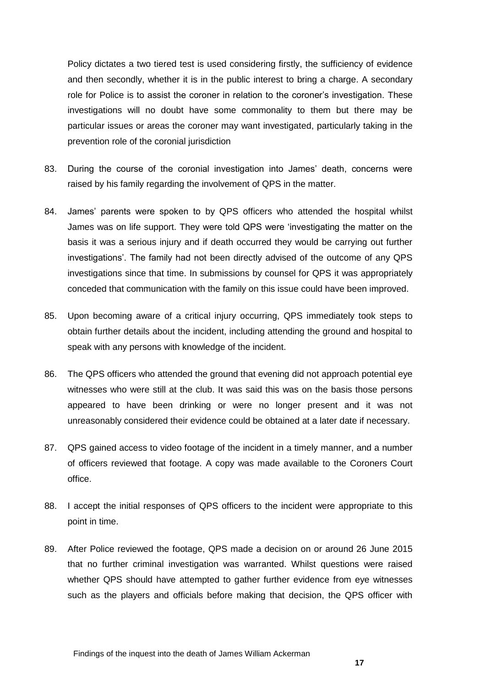Policy dictates a two tiered test is used considering firstly, the sufficiency of evidence and then secondly, whether it is in the public interest to bring a charge. A secondary role for Police is to assist the coroner in relation to the coroner's investigation. These investigations will no doubt have some commonality to them but there may be particular issues or areas the coroner may want investigated, particularly taking in the prevention role of the coronial jurisdiction

- 83. During the course of the coronial investigation into James' death, concerns were raised by his family regarding the involvement of QPS in the matter.
- 84. James' parents were spoken to by QPS officers who attended the hospital whilst James was on life support. They were told QPS were 'investigating the matter on the basis it was a serious injury and if death occurred they would be carrying out further investigations'. The family had not been directly advised of the outcome of any QPS investigations since that time. In submissions by counsel for QPS it was appropriately conceded that communication with the family on this issue could have been improved.
- 85. Upon becoming aware of a critical injury occurring, QPS immediately took steps to obtain further details about the incident, including attending the ground and hospital to speak with any persons with knowledge of the incident.
- 86. The QPS officers who attended the ground that evening did not approach potential eye witnesses who were still at the club. It was said this was on the basis those persons appeared to have been drinking or were no longer present and it was not unreasonably considered their evidence could be obtained at a later date if necessary.
- 87. QPS gained access to video footage of the incident in a timely manner, and a number of officers reviewed that footage. A copy was made available to the Coroners Court office.
- 88. I accept the initial responses of QPS officers to the incident were appropriate to this point in time.
- 89. After Police reviewed the footage, QPS made a decision on or around 26 June 2015 that no further criminal investigation was warranted. Whilst questions were raised whether QPS should have attempted to gather further evidence from eye witnesses such as the players and officials before making that decision, the QPS officer with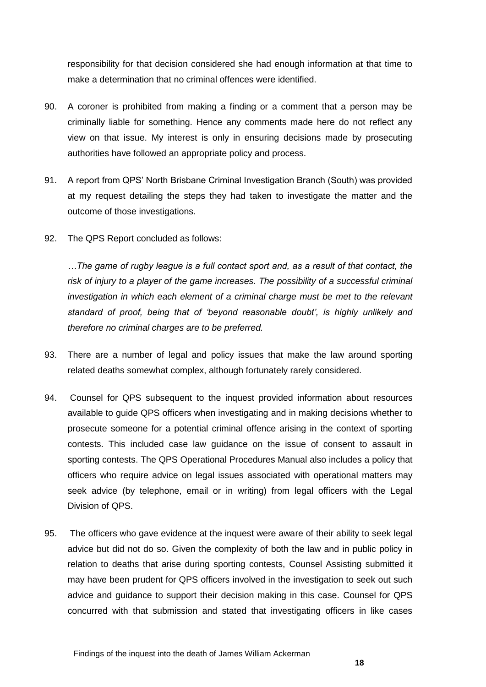responsibility for that decision considered she had enough information at that time to make a determination that no criminal offences were identified.

- 90. A coroner is prohibited from making a finding or a comment that a person may be criminally liable for something. Hence any comments made here do not reflect any view on that issue. My interest is only in ensuring decisions made by prosecuting authorities have followed an appropriate policy and process.
- 91. A report from QPS' North Brisbane Criminal Investigation Branch (South) was provided at my request detailing the steps they had taken to investigate the matter and the outcome of those investigations.
- 92. The QPS Report concluded as follows:

*…The game of rugby league is a full contact sport and, as a result of that contact, the risk of injury to a player of the game increases. The possibility of a successful criminal investigation in which each element of a criminal charge must be met to the relevant standard of proof, being that of 'beyond reasonable doubt', is highly unlikely and therefore no criminal charges are to be preferred.*

- 93. There are a number of legal and policy issues that make the law around sporting related deaths somewhat complex, although fortunately rarely considered.
- 94. Counsel for QPS subsequent to the inquest provided information about resources available to guide QPS officers when investigating and in making decisions whether to prosecute someone for a potential criminal offence arising in the context of sporting contests. This included case law guidance on the issue of consent to assault in sporting contests. The QPS Operational Procedures Manual also includes a policy that officers who require advice on legal issues associated with operational matters may seek advice (by telephone, email or in writing) from legal officers with the Legal Division of QPS.
- 95. The officers who gave evidence at the inquest were aware of their ability to seek legal advice but did not do so. Given the complexity of both the law and in public policy in relation to deaths that arise during sporting contests, Counsel Assisting submitted it may have been prudent for QPS officers involved in the investigation to seek out such advice and guidance to support their decision making in this case. Counsel for QPS concurred with that submission and stated that investigating officers in like cases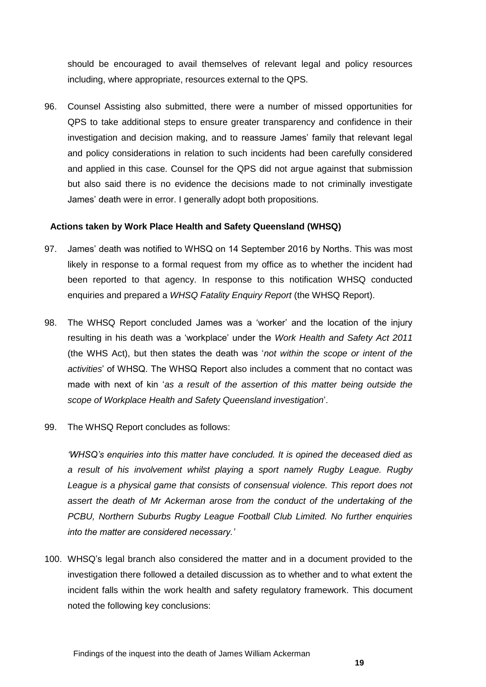should be encouraged to avail themselves of relevant legal and policy resources including, where appropriate, resources external to the QPS.

96. Counsel Assisting also submitted, there were a number of missed opportunities for QPS to take additional steps to ensure greater transparency and confidence in their investigation and decision making, and to reassure James' family that relevant legal and policy considerations in relation to such incidents had been carefully considered and applied in this case. Counsel for the QPS did not argue against that submission but also said there is no evidence the decisions made to not criminally investigate James' death were in error. I generally adopt both propositions.

#### <span id="page-21-0"></span>**Actions taken by Work Place Health and Safety Queensland (WHSQ)**

- 97. James' death was notified to WHSQ on 14 September 2016 by Norths. This was most likely in response to a formal request from my office as to whether the incident had been reported to that agency. In response to this notification WHSQ conducted enquiries and prepared a *WHSQ Fatality Enquiry Report* (the WHSQ Report).
- 98. The WHSQ Report concluded James was a 'worker' and the location of the injury resulting in his death was a 'workplace' under the *Work Health and Safety Act 2011*  (the WHS Act), but then states the death was '*not within the scope or intent of the activities*' of WHSQ. The WHSQ Report also includes a comment that no contact was made with next of kin '*as a result of the assertion of this matter being outside the scope of Workplace Health and Safety Queensland investigation*'.
- 99. The WHSQ Report concludes as follows:

*'WHSQ's enquiries into this matter have concluded. It is opined the deceased died as a result of his involvement whilst playing a sport namely Rugby League. Rugby*  League is a physical game that consists of consensual violence. This report does not *assert the death of Mr Ackerman arose from the conduct of the undertaking of the PCBU, Northern Suburbs Rugby League Football Club Limited. No further enquiries into the matter are considered necessary.'*

100. WHSQ's legal branch also considered the matter and in a document provided to the investigation there followed a detailed discussion as to whether and to what extent the incident falls within the work health and safety regulatory framework. This document noted the following key conclusions: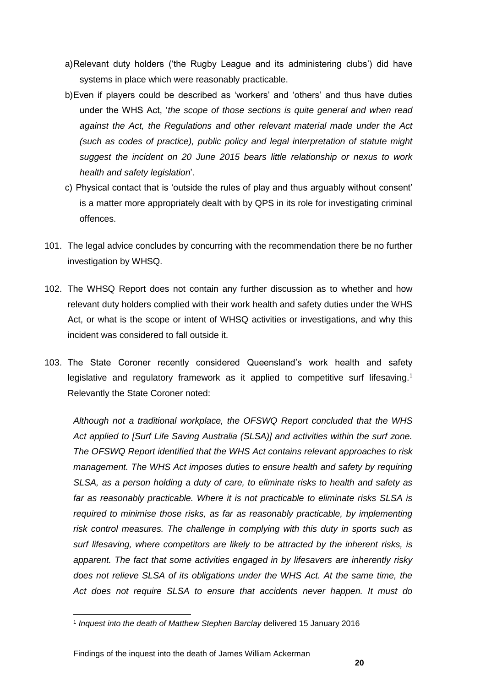- a)Relevant duty holders ('the Rugby League and its administering clubs') did have systems in place which were reasonably practicable.
- b)Even if players could be described as 'workers' and 'others' and thus have duties under the WHS Act, '*the scope of those sections is quite general and when read against the Act, the Regulations and other relevant material made under the Act (such as codes of practice), public policy and legal interpretation of statute might suggest the incident on 20 June 2015 bears little relationship or nexus to work health and safety legislation*'.
- c) Physical contact that is 'outside the rules of play and thus arguably without consent' is a matter more appropriately dealt with by QPS in its role for investigating criminal offences.
- 101. The legal advice concludes by concurring with the recommendation there be no further investigation by WHSQ.
- 102. The WHSQ Report does not contain any further discussion as to whether and how relevant duty holders complied with their work health and safety duties under the WHS Act, or what is the scope or intent of WHSQ activities or investigations, and why this incident was considered to fall outside it.
- 103. The State Coroner recently considered Queensland's work health and safety legislative and regulatory framework as it applied to competitive surf lifesaving.<sup>1</sup> Relevantly the State Coroner noted:

*Although not a traditional workplace, the OFSWQ Report concluded that the WHS Act applied to [Surf Life Saving Australia (SLSA)] and activities within the surf zone. The OFSWQ Report identified that the WHS Act contains relevant approaches to risk management. The WHS Act imposes duties to ensure health and safety by requiring SLSA, as a person holding a duty of care, to eliminate risks to health and safety as far as reasonably practicable. Where it is not practicable to eliminate risks SLSA is required to minimise those risks, as far as reasonably practicable, by implementing risk control measures. The challenge in complying with this duty in sports such as surf lifesaving, where competitors are likely to be attracted by the inherent risks, is apparent. The fact that some activities engaged in by lifesavers are inherently risky does not relieve SLSA of its obligations under the WHS Act. At the same time, the Act does not require SLSA to ensure that accidents never happen. It must do* 

l

<sup>1</sup> *Inquest into the death of Matthew Stephen Barclay* delivered 15 January 2016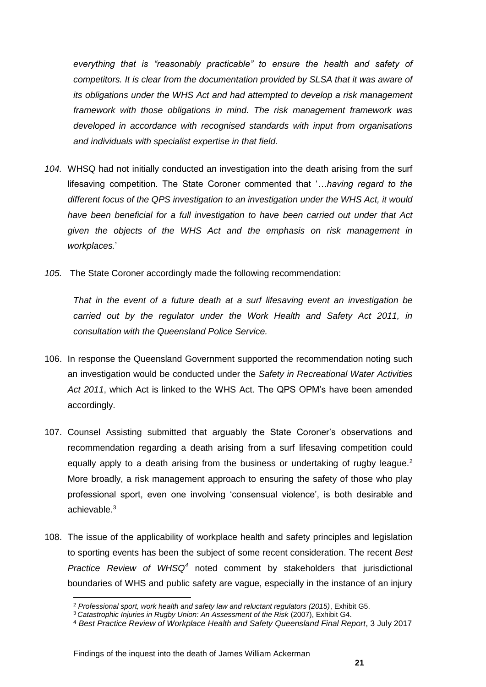*everything that is "reasonably practicable" to ensure the health and safety of competitors. It is clear from the documentation provided by SLSA that it was aware of its obligations under the WHS Act and had attempted to develop a risk management framework with those obligations in mind. The risk management framework was developed in accordance with recognised standards with input from organisations and individuals with specialist expertise in that field.*

- *104.* WHSQ had not initially conducted an investigation into the death arising from the surf lifesaving competition. The State Coroner commented that '*…having regard to the different focus of the QPS investigation to an investigation under the WHS Act, it would have been beneficial for a full investigation to have been carried out under that Act given the objects of the WHS Act and the emphasis on risk management in workplaces.*'
- *105.* The State Coroner accordingly made the following recommendation:

*That in the event of a future death at a surf lifesaving event an investigation be carried out by the regulator under the Work Health and Safety Act 2011, in consultation with the Queensland Police Service.* 

- 106. In response the Queensland Government supported the recommendation noting such an investigation would be conducted under the *Safety in Recreational Water Activities Act 2011*, which Act is linked to the WHS Act. The QPS OPM's have been amended accordingly.
- 107. Counsel Assisting submitted that arguably the State Coroner's observations and recommendation regarding a death arising from a surf lifesaving competition could equally apply to a death arising from the business or undertaking of rugby league.<sup>2</sup> More broadly, a risk management approach to ensuring the safety of those who play professional sport, even one involving 'consensual violence', is both desirable and achievable.<sup>3</sup>
- 108. The issue of the applicability of workplace health and safety principles and legislation to sporting events has been the subject of some recent consideration. The recent *Best Practice Review of WHSQ<sup>4</sup>* noted comment by stakeholders that jurisdictional boundaries of WHS and public safety are vague, especially in the instance of an injury

l

<sup>2</sup> *Professional sport, work health and safety law and reluctant regulators (2015)*, Exhibit G5.

<sup>3</sup> *Catastrophic Injuries in Rugby Union: An Assessment of the Risk* (2007), Exhibit G4.

<sup>4</sup> *Best Practice Review of Workplace Health and Safety Queensland Final Report*, 3 July 2017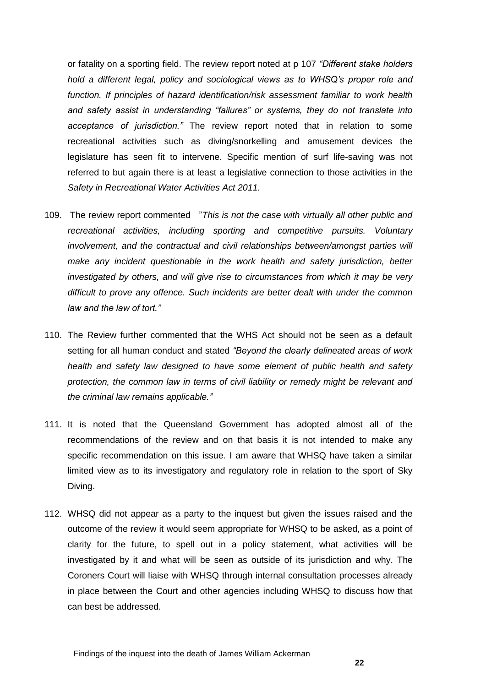or fatality on a sporting field. The review report noted at p 107 *"Different stake holders hold a different legal, policy and sociological views as to WHSQ's proper role and function. If principles of hazard identification/risk assessment familiar to work health and safety assist in understanding "failures" or systems, they do not translate into acceptance of jurisdiction."* The review report noted that in relation to some recreational activities such as diving/snorkelling and amusement devices the legislature has seen fit to intervene. Specific mention of surf life-saving was not referred to but again there is at least a legislative connection to those activities in the *Safety in Recreational Water Activities Act 2011.*

- 109. The review report commented "*This is not the case with virtually all other public and recreational activities, including sporting and competitive pursuits. Voluntary involvement, and the contractual and civil relationships between/amongst parties will make any incident questionable in the work health and safety jurisdiction, better investigated by others, and will give rise to circumstances from which it may be very difficult to prove any offence. Such incidents are better dealt with under the common law and the law of tort."*
- 110. The Review further commented that the WHS Act should not be seen as a default setting for all human conduct and stated *"Beyond the clearly delineated areas of work health and safety law designed to have some element of public health and safety protection, the common law in terms of civil liability or remedy might be relevant and the criminal law remains applicable."*
- 111. It is noted that the Queensland Government has adopted almost all of the recommendations of the review and on that basis it is not intended to make any specific recommendation on this issue. I am aware that WHSQ have taken a similar limited view as to its investigatory and regulatory role in relation to the sport of Sky Diving.
- 112. WHSQ did not appear as a party to the inquest but given the issues raised and the outcome of the review it would seem appropriate for WHSQ to be asked, as a point of clarity for the future, to spell out in a policy statement, what activities will be investigated by it and what will be seen as outside of its jurisdiction and why. The Coroners Court will liaise with WHSQ through internal consultation processes already in place between the Court and other agencies including WHSQ to discuss how that can best be addressed.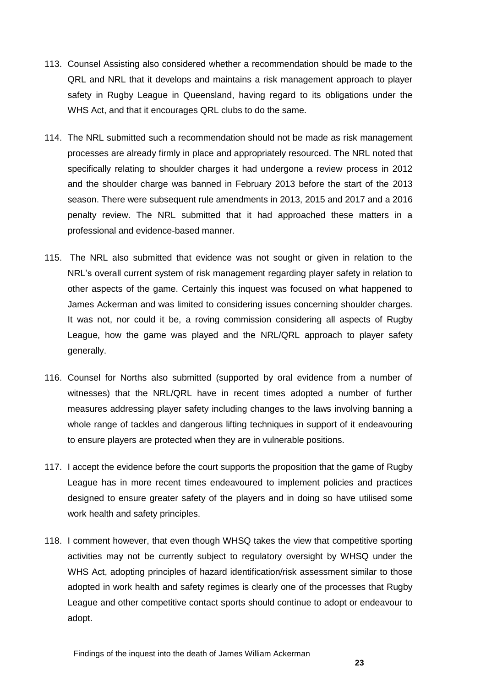- 113. Counsel Assisting also considered whether a recommendation should be made to the QRL and NRL that it develops and maintains a risk management approach to player safety in Rugby League in Queensland, having regard to its obligations under the WHS Act, and that it encourages QRL clubs to do the same.
- 114. The NRL submitted such a recommendation should not be made as risk management processes are already firmly in place and appropriately resourced. The NRL noted that specifically relating to shoulder charges it had undergone a review process in 2012 and the shoulder charge was banned in February 2013 before the start of the 2013 season. There were subsequent rule amendments in 2013, 2015 and 2017 and a 2016 penalty review. The NRL submitted that it had approached these matters in a professional and evidence-based manner.
- 115. The NRL also submitted that evidence was not sought or given in relation to the NRL's overall current system of risk management regarding player safety in relation to other aspects of the game. Certainly this inquest was focused on what happened to James Ackerman and was limited to considering issues concerning shoulder charges. It was not, nor could it be, a roving commission considering all aspects of Rugby League, how the game was played and the NRL/QRL approach to player safety generally.
- 116. Counsel for Norths also submitted (supported by oral evidence from a number of witnesses) that the NRL/QRL have in recent times adopted a number of further measures addressing player safety including changes to the laws involving banning a whole range of tackles and dangerous lifting techniques in support of it endeavouring to ensure players are protected when they are in vulnerable positions.
- 117. I accept the evidence before the court supports the proposition that the game of Rugby League has in more recent times endeavoured to implement policies and practices designed to ensure greater safety of the players and in doing so have utilised some work health and safety principles.
- 118. I comment however, that even though WHSQ takes the view that competitive sporting activities may not be currently subject to regulatory oversight by WHSQ under the WHS Act, adopting principles of hazard identification/risk assessment similar to those adopted in work health and safety regimes is clearly one of the processes that Rugby League and other competitive contact sports should continue to adopt or endeavour to adopt.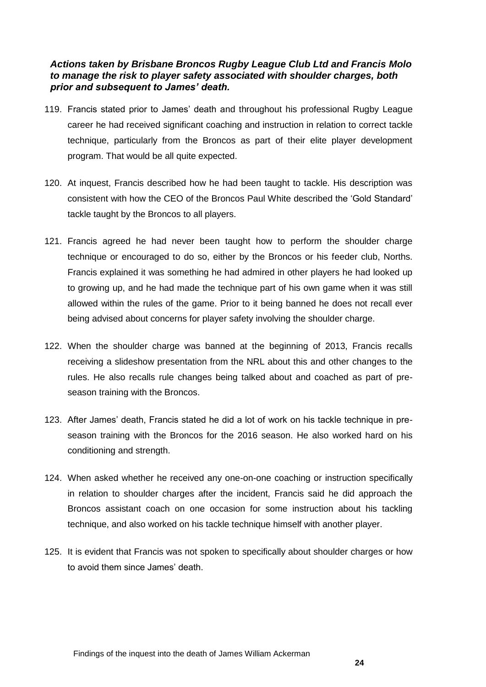#### <span id="page-26-0"></span>*Actions taken by Brisbane Broncos Rugby League Club Ltd and Francis Molo to manage the risk to player safety associated with shoulder charges, both prior and subsequent to James' death.*

- 119. Francis stated prior to James' death and throughout his professional Rugby League career he had received significant coaching and instruction in relation to correct tackle technique, particularly from the Broncos as part of their elite player development program. That would be all quite expected.
- 120. At inquest, Francis described how he had been taught to tackle. His description was consistent with how the CEO of the Broncos Paul White described the 'Gold Standard' tackle taught by the Broncos to all players.
- 121. Francis agreed he had never been taught how to perform the shoulder charge technique or encouraged to do so, either by the Broncos or his feeder club, Norths. Francis explained it was something he had admired in other players he had looked up to growing up, and he had made the technique part of his own game when it was still allowed within the rules of the game. Prior to it being banned he does not recall ever being advised about concerns for player safety involving the shoulder charge.
- 122. When the shoulder charge was banned at the beginning of 2013, Francis recalls receiving a slideshow presentation from the NRL about this and other changes to the rules. He also recalls rule changes being talked about and coached as part of preseason training with the Broncos.
- 123. After James' death, Francis stated he did a lot of work on his tackle technique in preseason training with the Broncos for the 2016 season. He also worked hard on his conditioning and strength.
- 124. When asked whether he received any one-on-one coaching or instruction specifically in relation to shoulder charges after the incident, Francis said he did approach the Broncos assistant coach on one occasion for some instruction about his tackling technique, and also worked on his tackle technique himself with another player.
- 125. It is evident that Francis was not spoken to specifically about shoulder charges or how to avoid them since James' death.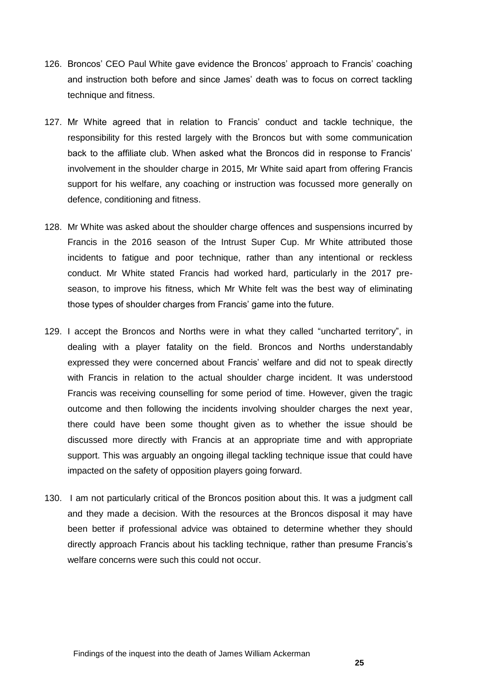- 126. Broncos' CEO Paul White gave evidence the Broncos' approach to Francis' coaching and instruction both before and since James' death was to focus on correct tackling technique and fitness.
- 127. Mr White agreed that in relation to Francis' conduct and tackle technique, the responsibility for this rested largely with the Broncos but with some communication back to the affiliate club. When asked what the Broncos did in response to Francis' involvement in the shoulder charge in 2015, Mr White said apart from offering Francis support for his welfare, any coaching or instruction was focussed more generally on defence, conditioning and fitness.
- 128. Mr White was asked about the shoulder charge offences and suspensions incurred by Francis in the 2016 season of the Intrust Super Cup. Mr White attributed those incidents to fatigue and poor technique, rather than any intentional or reckless conduct. Mr White stated Francis had worked hard, particularly in the 2017 preseason, to improve his fitness, which Mr White felt was the best way of eliminating those types of shoulder charges from Francis' game into the future.
- 129. I accept the Broncos and Norths were in what they called "uncharted territory", in dealing with a player fatality on the field. Broncos and Norths understandably expressed they were concerned about Francis' welfare and did not to speak directly with Francis in relation to the actual shoulder charge incident. It was understood Francis was receiving counselling for some period of time. However, given the tragic outcome and then following the incidents involving shoulder charges the next year, there could have been some thought given as to whether the issue should be discussed more directly with Francis at an appropriate time and with appropriate support. This was arguably an ongoing illegal tackling technique issue that could have impacted on the safety of opposition players going forward.
- 130. I am not particularly critical of the Broncos position about this. It was a judgment call and they made a decision. With the resources at the Broncos disposal it may have been better if professional advice was obtained to determine whether they should directly approach Francis about his tackling technique, rather than presume Francis's welfare concerns were such this could not occur.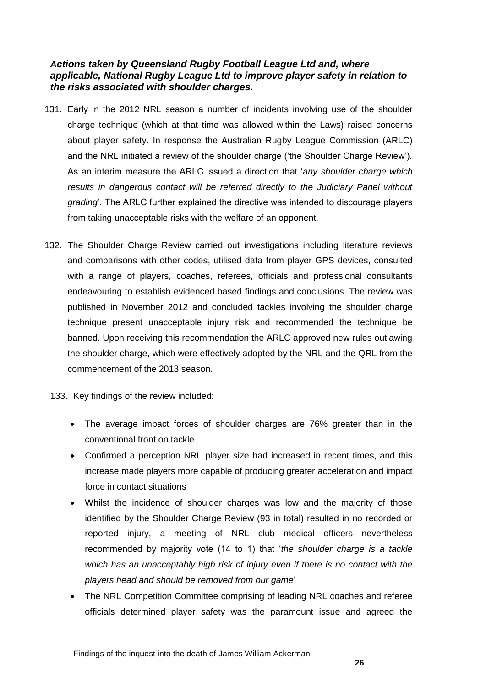#### <span id="page-28-0"></span>*Actions taken by Queensland Rugby Football League Ltd and, where applicable, National Rugby League Ltd to improve player safety in relation to the risks associated with shoulder charges.*

- 131. Early in the 2012 NRL season a number of incidents involving use of the shoulder charge technique (which at that time was allowed within the Laws) raised concerns about player safety. In response the Australian Rugby League Commission (ARLC) and the NRL initiated a review of the shoulder charge ('the Shoulder Charge Review'). As an interim measure the ARLC issued a direction that '*any shoulder charge which*  results in dangerous contact will be referred directly to the Judiciary Panel without *grading*'. The ARLC further explained the directive was intended to discourage players from taking unacceptable risks with the welfare of an opponent.
- 132. The Shoulder Charge Review carried out investigations including literature reviews and comparisons with other codes, utilised data from player GPS devices, consulted with a range of players, coaches, referees, officials and professional consultants endeavouring to establish evidenced based findings and conclusions. The review was published in November 2012 and concluded tackles involving the shoulder charge technique present unacceptable injury risk and recommended the technique be banned. Upon receiving this recommendation the ARLC approved new rules outlawing the shoulder charge, which were effectively adopted by the NRL and the QRL from the commencement of the 2013 season.
	- 133. Key findings of the review included:
		- The average impact forces of shoulder charges are 76% greater than in the conventional front on tackle
		- Confirmed a perception NRL player size had increased in recent times, and this increase made players more capable of producing greater acceleration and impact force in contact situations
		- Whilst the incidence of shoulder charges was low and the majority of those identified by the Shoulder Charge Review (93 in total) resulted in no recorded or reported injury, a meeting of NRL club medical officers nevertheless recommended by majority vote (14 to 1) that '*the shoulder charge is a tackle which has an unacceptably high risk of injury even if there is no contact with the players head and should be removed from our game*'
		- The NRL Competition Committee comprising of leading NRL coaches and referee officials determined player safety was the paramount issue and agreed the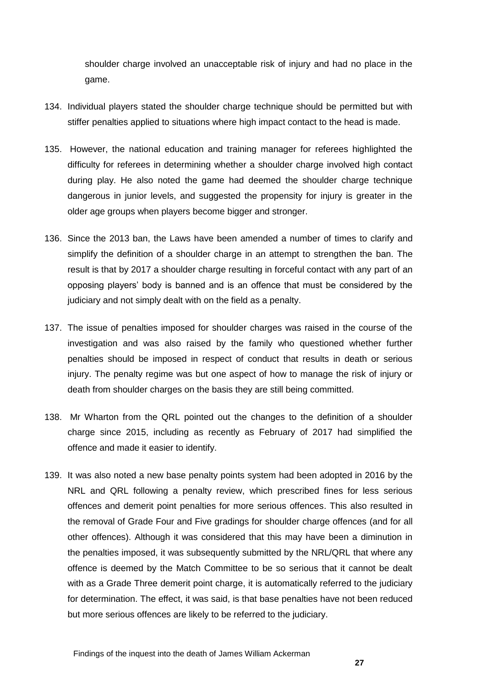shoulder charge involved an unacceptable risk of injury and had no place in the game.

- 134. Individual players stated the shoulder charge technique should be permitted but with stiffer penalties applied to situations where high impact contact to the head is made.
- 135. However, the national education and training manager for referees highlighted the difficulty for referees in determining whether a shoulder charge involved high contact during play. He also noted the game had deemed the shoulder charge technique dangerous in junior levels, and suggested the propensity for injury is greater in the older age groups when players become bigger and stronger.
- 136. Since the 2013 ban, the Laws have been amended a number of times to clarify and simplify the definition of a shoulder charge in an attempt to strengthen the ban. The result is that by 2017 a shoulder charge resulting in forceful contact with any part of an opposing players' body is banned and is an offence that must be considered by the judiciary and not simply dealt with on the field as a penalty.
- 137. The issue of penalties imposed for shoulder charges was raised in the course of the investigation and was also raised by the family who questioned whether further penalties should be imposed in respect of conduct that results in death or serious injury. The penalty regime was but one aspect of how to manage the risk of injury or death from shoulder charges on the basis they are still being committed.
- 138. Mr Wharton from the QRL pointed out the changes to the definition of a shoulder charge since 2015, including as recently as February of 2017 had simplified the offence and made it easier to identify.
- 139. It was also noted a new base penalty points system had been adopted in 2016 by the NRL and QRL following a penalty review, which prescribed fines for less serious offences and demerit point penalties for more serious offences. This also resulted in the removal of Grade Four and Five gradings for shoulder charge offences (and for all other offences). Although it was considered that this may have been a diminution in the penalties imposed, it was subsequently submitted by the NRL/QRL that where any offence is deemed by the Match Committee to be so serious that it cannot be dealt with as a Grade Three demerit point charge, it is automatically referred to the judiciary for determination. The effect, it was said, is that base penalties have not been reduced but more serious offences are likely to be referred to the judiciary.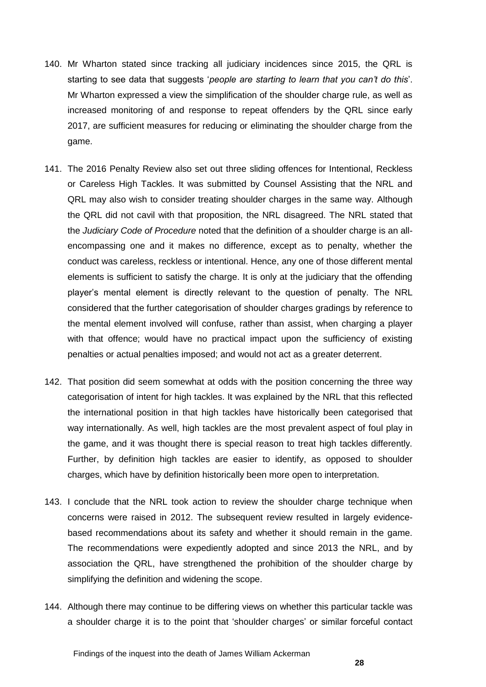- 140. Mr Wharton stated since tracking all judiciary incidences since 2015, the QRL is starting to see data that suggests '*people are starting to learn that you can't do this*'. Mr Wharton expressed a view the simplification of the shoulder charge rule, as well as increased monitoring of and response to repeat offenders by the QRL since early 2017, are sufficient measures for reducing or eliminating the shoulder charge from the game.
- 141. The 2016 Penalty Review also set out three sliding offences for Intentional, Reckless or Careless High Tackles. It was submitted by Counsel Assisting that the NRL and QRL may also wish to consider treating shoulder charges in the same way. Although the QRL did not cavil with that proposition, the NRL disagreed. The NRL stated that the *Judiciary Code of Procedure* noted that the definition of a shoulder charge is an allencompassing one and it makes no difference, except as to penalty, whether the conduct was careless, reckless or intentional. Hence, any one of those different mental elements is sufficient to satisfy the charge. It is only at the judiciary that the offending player's mental element is directly relevant to the question of penalty. The NRL considered that the further categorisation of shoulder charges gradings by reference to the mental element involved will confuse, rather than assist, when charging a player with that offence; would have no practical impact upon the sufficiency of existing penalties or actual penalties imposed; and would not act as a greater deterrent.
- 142. That position did seem somewhat at odds with the position concerning the three way categorisation of intent for high tackles. It was explained by the NRL that this reflected the international position in that high tackles have historically been categorised that way internationally. As well, high tackles are the most prevalent aspect of foul play in the game, and it was thought there is special reason to treat high tackles differently. Further, by definition high tackles are easier to identify, as opposed to shoulder charges, which have by definition historically been more open to interpretation.
- 143. I conclude that the NRL took action to review the shoulder charge technique when concerns were raised in 2012. The subsequent review resulted in largely evidencebased recommendations about its safety and whether it should remain in the game. The recommendations were expediently adopted and since 2013 the NRL, and by association the QRL, have strengthened the prohibition of the shoulder charge by simplifying the definition and widening the scope.
- 144. Although there may continue to be differing views on whether this particular tackle was a shoulder charge it is to the point that 'shoulder charges' or similar forceful contact

Findings of the inquest into the death of James William Ackerman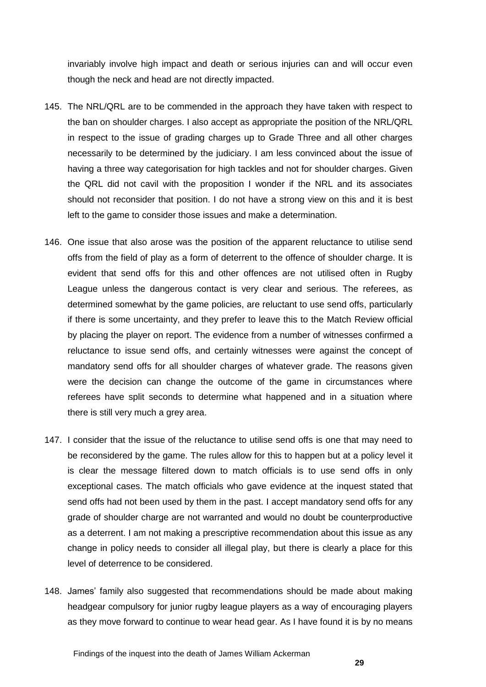invariably involve high impact and death or serious injuries can and will occur even though the neck and head are not directly impacted.

- 145. The NRL/QRL are to be commended in the approach they have taken with respect to the ban on shoulder charges. I also accept as appropriate the position of the NRL/QRL in respect to the issue of grading charges up to Grade Three and all other charges necessarily to be determined by the judiciary. I am less convinced about the issue of having a three way categorisation for high tackles and not for shoulder charges. Given the QRL did not cavil with the proposition I wonder if the NRL and its associates should not reconsider that position. I do not have a strong view on this and it is best left to the game to consider those issues and make a determination.
- 146. One issue that also arose was the position of the apparent reluctance to utilise send offs from the field of play as a form of deterrent to the offence of shoulder charge. It is evident that send offs for this and other offences are not utilised often in Rugby League unless the dangerous contact is very clear and serious. The referees, as determined somewhat by the game policies, are reluctant to use send offs, particularly if there is some uncertainty, and they prefer to leave this to the Match Review official by placing the player on report. The evidence from a number of witnesses confirmed a reluctance to issue send offs, and certainly witnesses were against the concept of mandatory send offs for all shoulder charges of whatever grade. The reasons given were the decision can change the outcome of the game in circumstances where referees have split seconds to determine what happened and in a situation where there is still very much a grey area.
- 147. I consider that the issue of the reluctance to utilise send offs is one that may need to be reconsidered by the game. The rules allow for this to happen but at a policy level it is clear the message filtered down to match officials is to use send offs in only exceptional cases. The match officials who gave evidence at the inquest stated that send offs had not been used by them in the past. I accept mandatory send offs for any grade of shoulder charge are not warranted and would no doubt be counterproductive as a deterrent. I am not making a prescriptive recommendation about this issue as any change in policy needs to consider all illegal play, but there is clearly a place for this level of deterrence to be considered.
- 148. James' family also suggested that recommendations should be made about making headgear compulsory for junior rugby league players as a way of encouraging players as they move forward to continue to wear head gear. As I have found it is by no means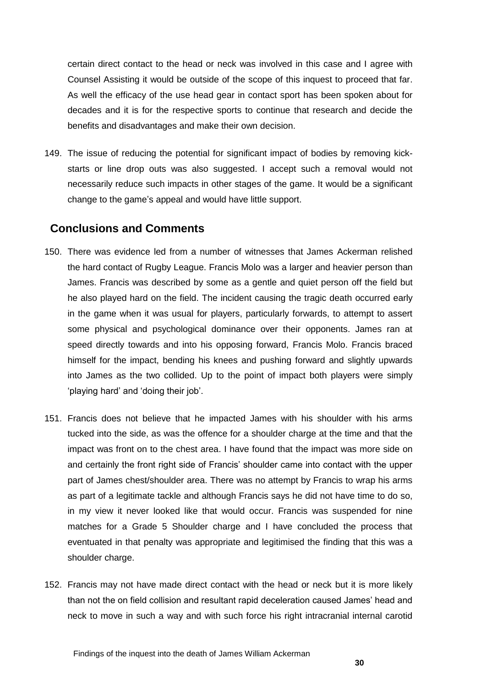certain direct contact to the head or neck was involved in this case and I agree with Counsel Assisting it would be outside of the scope of this inquest to proceed that far. As well the efficacy of the use head gear in contact sport has been spoken about for decades and it is for the respective sports to continue that research and decide the benefits and disadvantages and make their own decision.

149. The issue of reducing the potential for significant impact of bodies by removing kickstarts or line drop outs was also suggested. I accept such a removal would not necessarily reduce such impacts in other stages of the game. It would be a significant change to the game's appeal and would have little support.

### <span id="page-32-0"></span>**Conclusions and Comments**

- 150. There was evidence led from a number of witnesses that James Ackerman relished the hard contact of Rugby League. Francis Molo was a larger and heavier person than James. Francis was described by some as a gentle and quiet person off the field but he also played hard on the field. The incident causing the tragic death occurred early in the game when it was usual for players, particularly forwards, to attempt to assert some physical and psychological dominance over their opponents. James ran at speed directly towards and into his opposing forward, Francis Molo. Francis braced himself for the impact, bending his knees and pushing forward and slightly upwards into James as the two collided. Up to the point of impact both players were simply 'playing hard' and 'doing their job'.
- 151. Francis does not believe that he impacted James with his shoulder with his arms tucked into the side, as was the offence for a shoulder charge at the time and that the impact was front on to the chest area. I have found that the impact was more side on and certainly the front right side of Francis' shoulder came into contact with the upper part of James chest/shoulder area. There was no attempt by Francis to wrap his arms as part of a legitimate tackle and although Francis says he did not have time to do so, in my view it never looked like that would occur. Francis was suspended for nine matches for a Grade 5 Shoulder charge and I have concluded the process that eventuated in that penalty was appropriate and legitimised the finding that this was a shoulder charge.
- 152. Francis may not have made direct contact with the head or neck but it is more likely than not the on field collision and resultant rapid deceleration caused James' head and neck to move in such a way and with such force his right intracranial internal carotid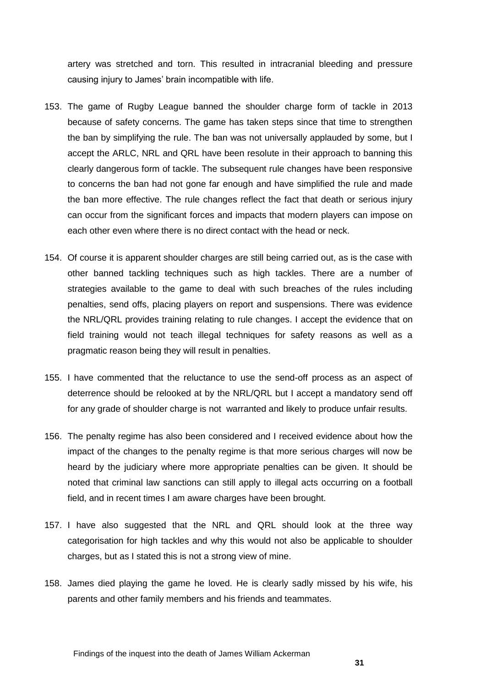artery was stretched and torn. This resulted in intracranial bleeding and pressure causing injury to James' brain incompatible with life.

- 153. The game of Rugby League banned the shoulder charge form of tackle in 2013 because of safety concerns. The game has taken steps since that time to strengthen the ban by simplifying the rule. The ban was not universally applauded by some, but I accept the ARLC, NRL and QRL have been resolute in their approach to banning this clearly dangerous form of tackle. The subsequent rule changes have been responsive to concerns the ban had not gone far enough and have simplified the rule and made the ban more effective. The rule changes reflect the fact that death or serious injury can occur from the significant forces and impacts that modern players can impose on each other even where there is no direct contact with the head or neck.
- 154. Of course it is apparent shoulder charges are still being carried out, as is the case with other banned tackling techniques such as high tackles. There are a number of strategies available to the game to deal with such breaches of the rules including penalties, send offs, placing players on report and suspensions. There was evidence the NRL/QRL provides training relating to rule changes. I accept the evidence that on field training would not teach illegal techniques for safety reasons as well as a pragmatic reason being they will result in penalties.
- 155. I have commented that the reluctance to use the send-off process as an aspect of deterrence should be relooked at by the NRL/QRL but I accept a mandatory send off for any grade of shoulder charge is not warranted and likely to produce unfair results.
- 156. The penalty regime has also been considered and I received evidence about how the impact of the changes to the penalty regime is that more serious charges will now be heard by the judiciary where more appropriate penalties can be given. It should be noted that criminal law sanctions can still apply to illegal acts occurring on a football field, and in recent times I am aware charges have been brought.
- 157. I have also suggested that the NRL and QRL should look at the three way categorisation for high tackles and why this would not also be applicable to shoulder charges, but as I stated this is not a strong view of mine.
- 158. James died playing the game he loved. He is clearly sadly missed by his wife, his parents and other family members and his friends and teammates.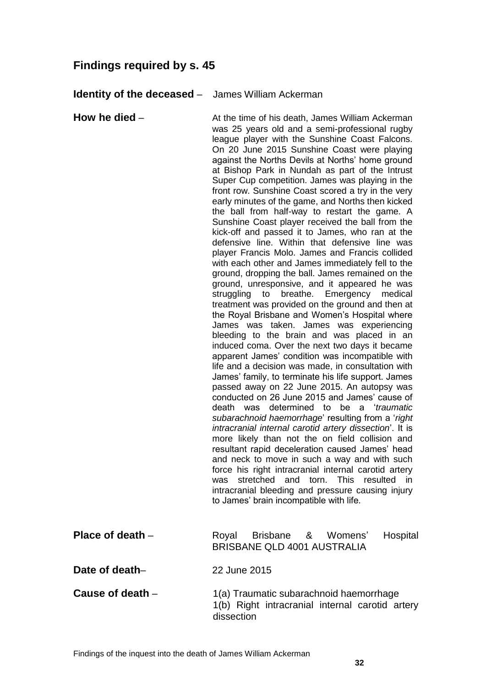# <span id="page-34-0"></span>**Findings required by s. 45**

#### <span id="page-34-1"></span>**Identity of the deceased** – James William Ackerman

<span id="page-34-2"></span>**How he died** – **At the time of his death, James William Ackerman** was 25 years old and a semi-professional rugby league player with the Sunshine Coast Falcons. On 20 June 2015 Sunshine Coast were playing against the Norths Devils at Norths' home ground at Bishop Park in Nundah as part of the Intrust Super Cup competition. James was playing in the front row. Sunshine Coast scored a try in the very early minutes of the game, and Norths then kicked the ball from half-way to restart the game. A Sunshine Coast player received the ball from the kick-off and passed it to James, who ran at the defensive line. Within that defensive line was player Francis Molo. James and Francis collided with each other and James immediately fell to the ground, dropping the ball. James remained on the ground, unresponsive, and it appeared he was struggling to breathe. Emergency medical treatment was provided on the ground and then at the Royal Brisbane and Women's Hospital where James was taken. James was experiencing bleeding to the brain and was placed in an induced coma. Over the next two days it became apparent James' condition was incompatible with life and a decision was made, in consultation with James' family, to terminate his life support. James passed away on 22 June 2015. An autopsy was conducted on 26 June 2015 and James' cause of death was determined to be a '*traumatic subarachnoid haemorrhage*' resulting from a '*right intracranial internal carotid artery dissection*'. It is more likely than not the on field collision and resultant rapid deceleration caused James' head and neck to move in such a way and with such force his right intracranial internal carotid artery was stretched and torn. This resulted in intracranial bleeding and pressure causing injury to James' brain incompatible with life. **Place of death** – Royal Brisbane & Womens' Hospital BRISBANE QLD 4001 AUSTRALIA

<span id="page-34-4"></span><span id="page-34-3"></span>**Date of death**– 22 June 2015

<span id="page-34-5"></span>**Cause of death** – 1(a) Traumatic subarachnoid haemorrhage 1(b) Right intracranial internal carotid artery dissection